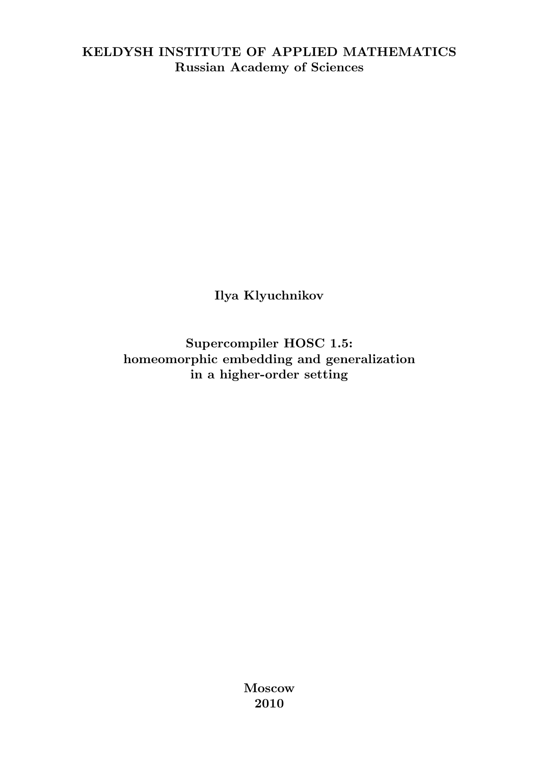### KELDYSH INSTITUTE OF APPLIED MATHEMATICS Russian Academy of Sciences

Ilya Klyuchnikov

Supercompiler HOSC 1.5: homeomorphic embedding and generalization in a higher-order setting

> Moscow 2010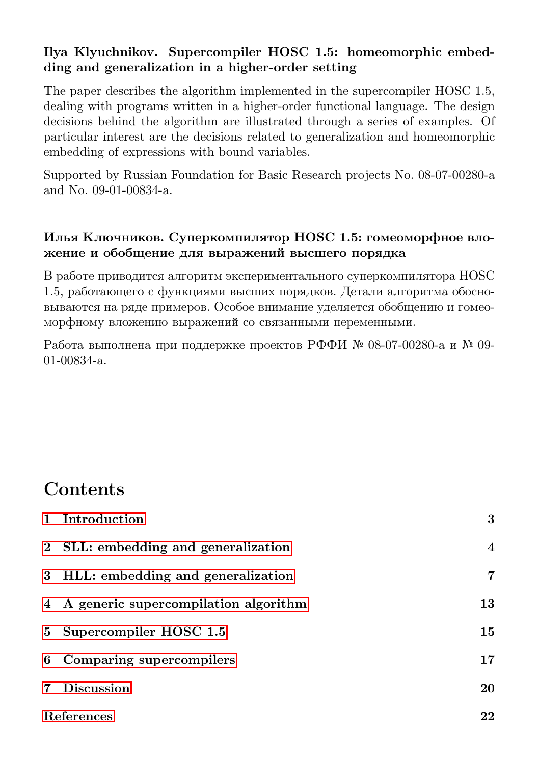#### Ilya Klyuchnikov. Supercompiler HOSC 1.5: homeomorphic embedding and generalization in a higher-order setting

The paper describes the algorithm implemented in the supercompiler HOSC 1.5, dealing with programs written in a higher-order functional language. The design decisions behind the algorithm are illustrated through a series of examples. Of particular interest are the decisions related to generalization and homeomorphic embedding of expressions with bound variables.

Supported by Russian Foundation for Basic Research projects No. 08-07-00280-a and No. 09-01-00834-a.

#### Илья Ключников. Суперкомпилятор HOSC 1.5: гомеоморфное вложение и обобщение для выражений высшего порядка

В работе приводится алгоритм экспериментального суперкомпилятора HOSC 1.5, работающего с функциями высших порядков. Детали алгоритма обосновываются на ряде примеров. Особое внимание уделяется обобщению и гомеоморфному вложению выражений со связанными переменными.

Работа выполнена при поддержке проектов РФФИ № 08-07-00280-a и № 09- 01-00834-a.

# **Contents**

|                | 1 Introduction                         | 3              |
|----------------|----------------------------------------|----------------|
|                | 2 SLL: embedding and generalization    | $\overline{4}$ |
|                | 3 HLL: embedding and generalization    | 7              |
|                | 4 A generic supercompilation algorithm | 13             |
|                | 5 Supercompiler HOSC 1.5               | 15             |
|                | 6 Comparing supercompilers             | 17             |
| $\overline{7}$ | <b>Discussion</b>                      | 20             |
|                | References                             | 22             |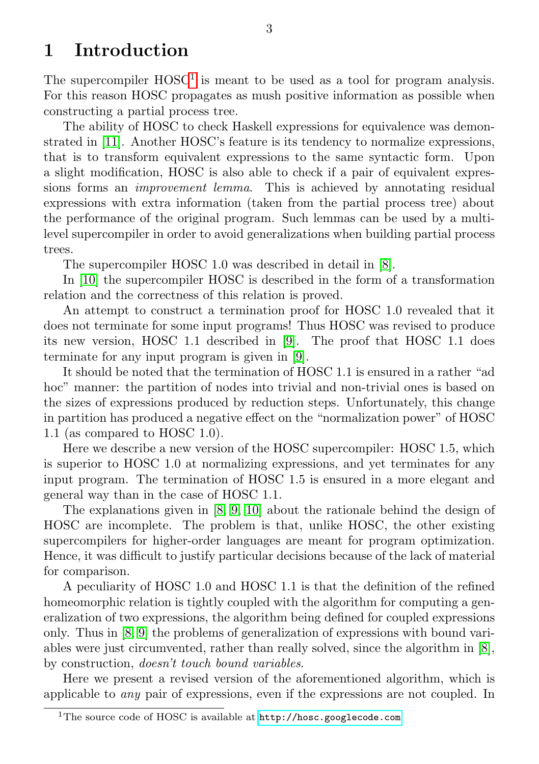## <span id="page-2-0"></span>1 Introduction

The supercompiler  $HOSC<sup>1</sup>$  $HOSC<sup>1</sup>$  $HOSC<sup>1</sup>$  is meant to be used as a tool for program analysis. For this reason HOSC propagates as mush positive information as possible when constructing a partial process tree.

The ability of HOSC to check Haskell expressions for equivalence was demonstrated in [\[11\]](#page-21-1). Another HOSC's feature is its tendency to normalize expressions, that is to transform equivalent expressions to the same syntactic form. Upon a slight modification, HOSC is also able to check if a pair of equivalent expressions forms an improvement lemma. This is achieved by annotating residual expressions with extra information (taken from the partial process tree) about the performance of the original program. Such lemmas can be used by a multilevel supercompiler in order to avoid generalizations when building partial process trees.

The supercompiler HOSC 1.0 was described in detail in [\[8\]](#page-21-2).

In [\[10\]](#page-21-3) the supercompiler HOSC is described in the form of a transformation relation and the correctness of this relation is proved.

An attempt to construct a termination proof for HOSC 1.0 revealed that it does not terminate for some input programs! Thus HOSC was revised to produce its new version, HOSC 1.1 described in [\[9\]](#page-21-4). The proof that HOSC 1.1 does terminate for any input program is given in [\[9\]](#page-21-4).

It should be noted that the termination of HOSC 1.1 is ensured in a rather "ad hoc" manner: the partition of nodes into trivial and non-trivial ones is based on the sizes of expressions produced by reduction steps. Unfortunately, this change in partition has produced a negative effect on the "normalization power" of HOSC 1.1 (as compared to HOSC 1.0).

Here we describe a new version of the HOSC supercompiler: HOSC 1.5, which is superior to HOSC 1.0 at normalizing expressions, and yet terminates for any input program. The termination of HOSC 1.5 is ensured in a more elegant and general way than in the case of HOSC 1.1.

The explanations given in [\[8,](#page-21-2) [9,](#page-21-4) [10\]](#page-21-3) about the rationale behind the design of HOSC are incomplete. The problem is that, unlike HOSC, the other existing supercompilers for higher-order languages are meant for program optimization. Hence, it was difficult to justify particular decisions because of the lack of material for comparison.

A peculiarity of HOSC 1.0 and HOSC 1.1 is that the definition of the refined homeomorphic relation is tightly coupled with the algorithm for computing a generalization of two expressions, the algorithm being defined for coupled expressions only. Thus in [\[8,](#page-21-2) [9\]](#page-21-4) the problems of generalization of expressions with bound variables were just circumvented, rather than really solved, since the algorithm in [\[8\]](#page-21-2), by construction, doesn't touch bound variables.

Here we present a revised version of the aforementioned algorithm, which is applicable to any pair of expressions, even if the expressions are not coupled. In

<span id="page-2-1"></span><sup>&</sup>lt;sup>1</sup>The source code of HOSC is available at <http://hosc.googlecode.com>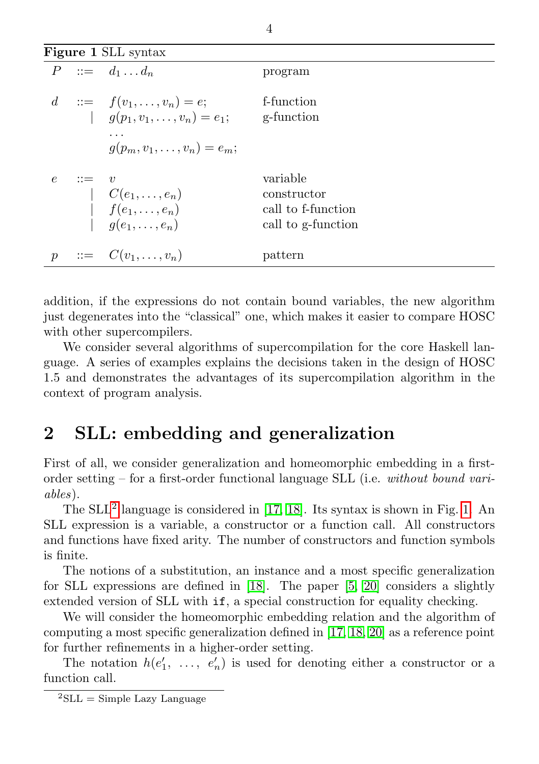<span id="page-3-2"></span>

|               | <b>Figure 1 SLL syntax</b> |                                                                                                                |                                                                     |  |  |  |  |
|---------------|----------------------------|----------------------------------------------------------------------------------------------------------------|---------------------------------------------------------------------|--|--|--|--|
|               |                            | $P \ ::= \ d_1 \dots d_n$                                                                                      | program                                                             |  |  |  |  |
|               |                            | $d := f(v_1, \ldots, v_n) = e;$<br>$g(p_1, v_1, \ldots, v_n) = e_1;$<br>.<br>$q(p_m, v_1, \ldots, v_n) = e_m;$ | f-function<br>g-function                                            |  |  |  |  |
| $\epsilon$    | $\mathbf{H} = \mathbf{H}$  | $C(e_1, , e_n)$<br>  $f(e_1, , e_n)$<br>  $g(e_1, , e_n)$                                                      | variable<br>constructor<br>call to f-function<br>call to g-function |  |  |  |  |
| $\mathcal{D}$ |                            | $\cdots = C(v_1, \ldots, v_n)$                                                                                 | pattern                                                             |  |  |  |  |

addition, if the expressions do not contain bound variables, the new algorithm just degenerates into the "classical" one, which makes it easier to compare HOSC with other supercompilers.

We consider several algorithms of supercompilation for the core Haskell language. A series of examples explains the decisions taken in the design of HOSC 1.5 and demonstrates the advantages of its supercompilation algorithm in the context of program analysis.

### <span id="page-3-0"></span>2 SLL: embedding and generalization

First of all, we consider generalization and homeomorphic embedding in a firstorder setting – for a first-order functional language SLL (i.e. without bound variables).

The SLL<sup>[2](#page-3-1)</sup> language is considered in [\[17,](#page-22-0) [18\]](#page-22-1). Its syntax is shown in Fig. [1.](#page-3-2) An SLL expression is a variable, a constructor or a function call. All constructors and functions have fixed arity. The number of constructors and function symbols is finite.

The notions of a substitution, an instance and a most specific generalization for SLL expressions are defined in [\[18\]](#page-22-1). The paper [\[5,](#page-21-5) [20\]](#page-22-2) considers a slightly extended version of SLL with if, a special construction for equality checking.

We will consider the homeomorphic embedding relation and the algorithm of computing a most specific generalization defined in [\[17,](#page-22-0) [18,](#page-22-1) [20\]](#page-22-2) as a reference point for further refinements in a higher-order setting.

The notation  $h(e'_1, \ldots, e'_n)$  is used for denoting either a constructor or a function call.

<span id="page-3-3"></span><span id="page-3-1"></span> ${}^{2}\mathrm{SLL}$  = Simple Lazy Language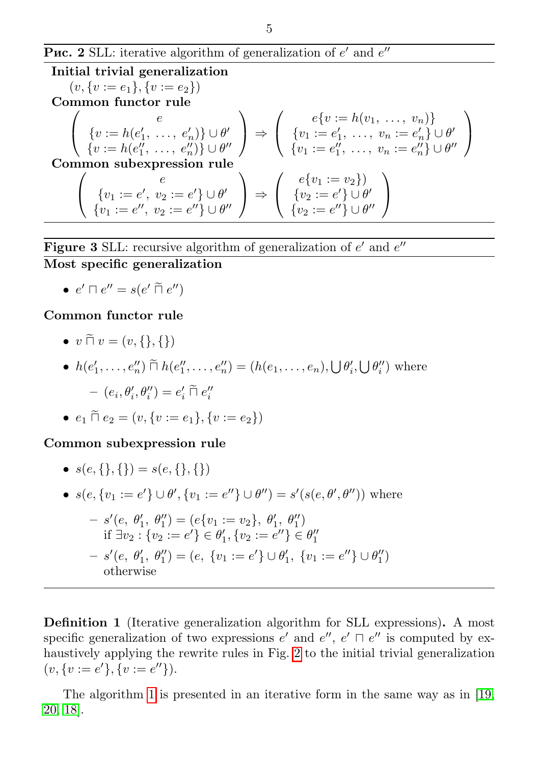**Puc. 2** SLL: iterative algorithm of generalization of  $e'$  and  $e''$ 

<span id="page-4-0"></span>Initial trivial generalization  $(v, \{v := e_1\}, \{v := e_2\})$ Common functor rule  $\sqrt{2}$  $\mathcal{L}$  $\epsilon$  $\{v := h(e'_1, \ldots, e'_n)\} \cup \theta'$  $\{v := h(e''_1, \ldots, e''_n)\} \cup \theta''$ ⎞  $\Big\}$  ⇒  $\sqrt{2}$  $\mathcal{L}$  $e\{v := h(v_1, \ldots, v_n)\}\$  $\{v_1 := e'_1, \ldots, v_n := e'_n\} \cup \theta'_1$  $\{v_1 := e_1'', \ldots, v_n := e_n''\} \cup \theta''$  $\setminus$  $\overline{ }$ Common subexpression rule  $\sqrt{2}$  $\mathcal{L}$  $\epsilon$  ${v_1 := e', v_2 := e'} \cup \theta'$  ${v_1 := e'',\ v_2 := e''} \cup \theta''$ ⎞  $\Big\}$  ⇒  $\sqrt{2}$  $\mathcal{L}$  $e\{v_1 := v_2\})$  ${v_2 := e'} \cup \theta'$  $\{v_2:=e''\}\cup\theta''$ ⎞  $\overline{I}$ 

**Figure 3** SLL: recursive algorithm of generalization of 
$$
e'
$$
 and  $e''$  Most specific generalization

$$
\bullet \ e' \sqcap e'' = s(e' \sqcap e'')
$$

#### Common functor rule

- $\bullet v \widetilde{\sqcap} v = (v, \{\}, \{\})$
- $h(e'_1, ..., e''_n) \cap h(e''_1, ..., e''_n) = (h(e_1, ..., e_n), \bigcup \theta'_i, \bigcup \theta''_i)$  where

$$
- (e_i, \theta'_i, \theta''_i) = e'_i \widetilde{\sqcap} e''_i
$$

•  $e_1 \tilde{\Pi} e_2 = (v, \{v := e_1\}, \{v := e_2\})$ 

#### Common subexpression rule

- $s(e, \{\}, \{\}) = s(e, \{\}, \{\})$
- $s(e, \{v_1 := e'\} \cup \theta', \{v_1 := e''\} \cup \theta'') = s'(s(e, \theta', \theta''))$  where

$$
- s'(e, \theta'_1, \theta''_1) = (e\{v_1 := v_2\}, \theta'_1, \theta''_1)
$$
  
if  $\exists v_2 : \{v_2 := e'\} \in \theta'_1, \{v_2 := e''\} \in \theta''_1$   

$$
- s'(e, \theta'_1, \theta''_1) = (e, \{v_1 := e'\} \cup \theta'_1, \{v_1 := e''\} \cup \theta''_1)
$$
  
otherwise

<span id="page-4-1"></span>Definition 1 (Iterative generalization algorithm for SLL expressions). A most specific generalization of two expressions  $e'$  and  $e''$ ,  $e' \sqcap e''$  is computed by exhaustively applying the rewrite rules in Fig. [2](#page-4-0) to the initial trivial generalization  $(v, \{v := e'\}, \{v := e''\}).$ 

The algorithm [1](#page-3-3) is presented in an iterative form in the same way as in [\[19,](#page-22-3) [20,](#page-22-2) [18\]](#page-22-1).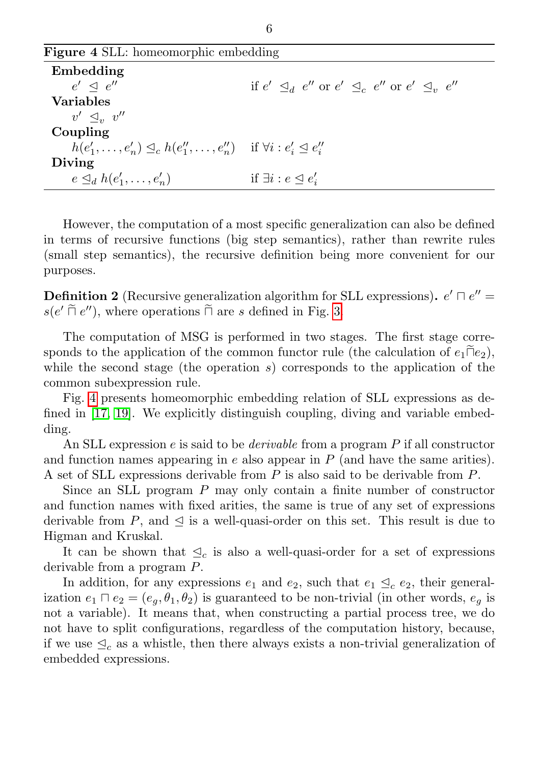<span id="page-5-0"></span>

| <b>Figure 4 SLL:</b> homeomorphic embedding                                             |                                                                                           |  |  |  |
|-----------------------------------------------------------------------------------------|-------------------------------------------------------------------------------------------|--|--|--|
| Embedding                                                                               |                                                                                           |  |  |  |
| $e' \triangleleft e''$                                                                  | if $e' \triangleleft_{d} e''$ or $e' \triangleleft_{c} e''$ or $e' \triangleleft_{v} e''$ |  |  |  |
| <b>Variables</b>                                                                        |                                                                                           |  |  |  |
| $v' \triangleleft_{v} v''$                                                              |                                                                                           |  |  |  |
| Coupling                                                                                |                                                                                           |  |  |  |
| $h(e'_1, \ldots, e'_n) \leq_c h(e''_1, \ldots, e''_n)$ if $\forall i : e'_i \leq e''_i$ |                                                                                           |  |  |  |
| Diving                                                                                  |                                                                                           |  |  |  |
| $e \trianglelefteq_d h(e'_1, \ldots, e'_n)$                                             | if $\exists i : e \leq e'_i$                                                              |  |  |  |

However, the computation of a most specific generalization can also be defined in terms of recursive functions (big step semantics), rather than rewrite rules (small step semantics), the recursive definition being more convenient for our purposes.

**Definition 2** (Recursive generalization algorithm for SLL expressions).  $e' \sqcap e'' =$  $s(e' \tilde{\sqcap} e'')$ , where operations  $\tilde{\sqcap}$  are  $s$  defined in Fig. [3.](#page-4-1)

The computation of MSG is performed in two stages. The first stage corresponds to the application of the common functor rule (the calculation of  $e_1\bar{||}e_2$ ), while the second stage (the operation  $s$ ) corresponds to the application of the common subexpression rule.

Fig. [4](#page-5-0) presents homeomorphic embedding relation of SLL expressions as defined in [\[17,](#page-22-0) [19\]](#page-22-3). We explicitly distinguish coupling, diving and variable embedding.

An SLL expression  $e$  is said to be *derivable* from a program  $P$  if all constructor and function names appearing in  $e$  also appear in  $P$  (and have the same arities). A set of SLL expressions derivable from  $P$  is also said to be derivable from  $P$ .

Since an SLL program  $P$  may only contain a finite number of constructor and function names with fixed arities, the same is true of any set of expressions derivable from P, and  $\leq$  is a well-quasi-order on this set. This result is due to Higman and Kruskal.

It can be shown that  $\leq_c$  is also a well-quasi-order for a set of expressions derivable from a program  $P$ .

In addition, for any expressions  $e_1$  and  $e_2$ , such that  $e_1 \nleq_c e_2$ , their generalization  $e_1 \sqcap e_2 = (e_a, \theta_1, \theta_2)$  is guaranteed to be non-trivial (in other words,  $e_a$  is not a variable). It means that, when constructing a partial process tree, we do not have to split configurations, regardless of the computation history, because, if we use  $\leq_c$  as a whistle, then there always exists a non-trivial generalization of embedded expressions.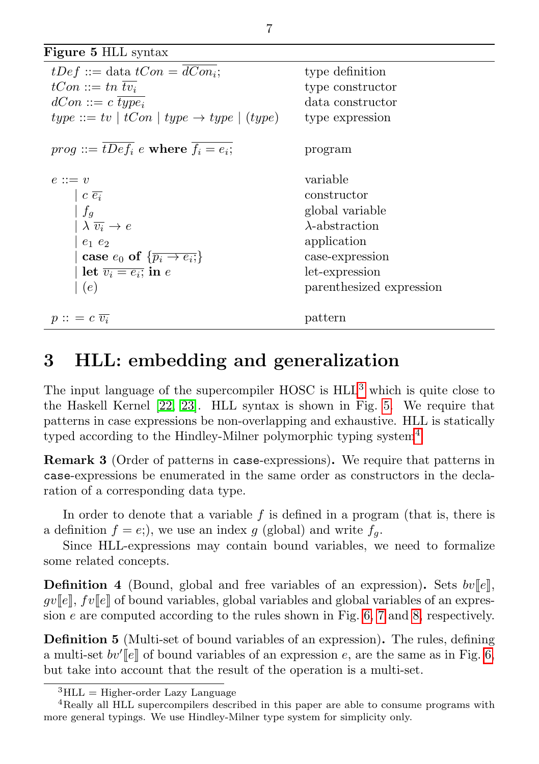<span id="page-6-2"></span>

| Figure 5 HLL syntax                                            |                          |  |  |  |
|----------------------------------------------------------------|--------------------------|--|--|--|
| $tDef ::=$ data $tCon = \overline{dCon_i};$                    | type definition          |  |  |  |
| $tCon ::= tn$                                                  | type constructor         |  |  |  |
| $dCon ::= c \ type_i$                                          | data constructor         |  |  |  |
| $type ::= tv \mid tCon \mid type \rightarrow type \mid (type)$ | type expression          |  |  |  |
| $prog ::= tDef_i$ e where $f_i = e_i$ ;                        | program                  |  |  |  |
| $e ::= v$                                                      | variable                 |  |  |  |
| $ c \overline{e_i}$                                            | constructor              |  |  |  |
| $f_q$                                                          | global variable          |  |  |  |
| $\lambda \overline{v_i} \rightarrow e$                         | $\lambda$ -abstraction   |  |  |  |
| $e_1$ $e_2$                                                    | application              |  |  |  |
| case $e_0$ of $\{\overline{p_i \rightarrow e_i}\}$             | case-expression          |  |  |  |
| let $\overline{v_i = e_i}$ in e                                | let-expression           |  |  |  |
| (e)                                                            | parenthesized expression |  |  |  |
| $p :: = c \overline{v_i}$                                      | pattern                  |  |  |  |

### <span id="page-6-0"></span>3 HLL: embedding and generalization

The input language of the supercompiler  $HOSC$  is  $HLL<sup>3</sup>$  $HLL<sup>3</sup>$  $HLL<sup>3</sup>$  which is quite close to the Haskell Kernel [\[22,](#page-22-4) [23\]](#page-22-5). HLL syntax is shown in Fig. [5.](#page-6-2) We require that patterns in case expressions be non-overlapping and exhaustive. HLL is statically typed according to the Hindley-Milner polymorphic typing system<sup>[4](#page-6-3)</sup>

Remark 3 (Order of patterns in case-expressions). We require that patterns in case-expressions be enumerated in the same order as constructors in the declaration of a corresponding data type.

In order to denote that a variable  $f$  is defined in a program (that is, there is a definition  $f = e$ ;), we use an index g (global) and write  $f<sub>a</sub>$ .

Since HLL-expressions may contain bound variables, we need to formalize some related concepts.

**Definition 4** (Bound, global and free variables of an expression). Sets  $bv[[e]],$  $qv[[e]], fv[[e]]$  of bound variables, global variables and global variables of an expression  $e$  are computed according to the rules shown in Fig. [6,](#page-7-0) [7](#page-7-1) and [8,](#page-7-2) respectively.

Definition 5 (Multi-set of bound variables of an expression). The rules, defining a multi-set  $bv'$  [e] of bound variables of an expression e, are the same as in Fig. [6,](#page-7-0) but take into account that the result of the operation is a multi-set.

<span id="page-6-3"></span><span id="page-6-1"></span> ${}^{3}$ HLL = Higher-order Lazy Language

<sup>4</sup>Really all HLL supercompilers described in this paper are able to consume programs with more general typings. We use Hindley-Milner type system for simplicity only.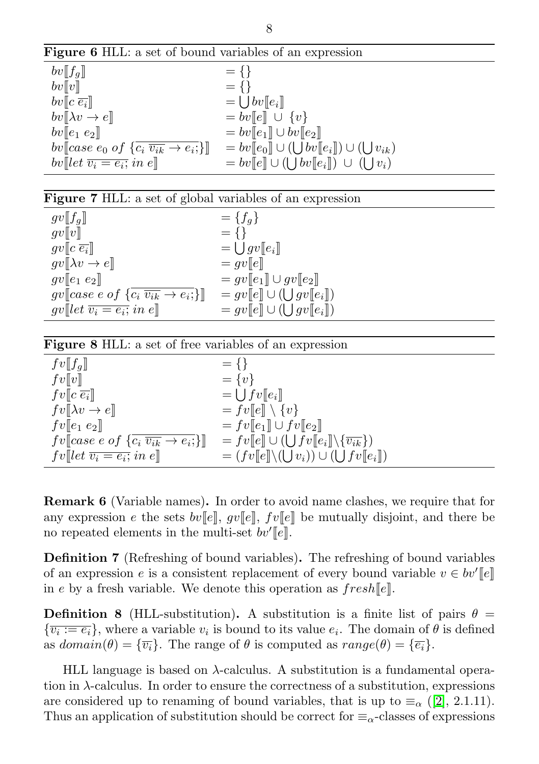Figure 6 HLL: a set of bound variables of an expression

<span id="page-7-0"></span>

| $bv[[f_q]]$                                                                                         | $= \{\}$                                         |
|-----------------------------------------------------------------------------------------------------|--------------------------------------------------|
| bv[[v]]                                                                                             | $= \{\}$                                         |
| $bv\ c\ \overline{e_i}\ $                                                                           | $= \int bv[[e_i]]$                               |
| $bv[\![\lambda v \rightarrow e]\!]$                                                                 | $= bv[[e]] \cup \{v\}$                           |
| $bv \ e_1 e_2\ $                                                                                    | $= bv[[e_1]] \cup bv[[e_2]]$                     |
| bv $\llbracket \text{case } e_0 \text{ of } \{c_i \overline{v_{ik}} \rightarrow e_i; \} \rrbracket$ | $= bv[[e_0]] \cup ([]bv[[e_i]]) \cup ([]v_{ik})$ |
| bv[let $\overline{v_i = e_i}$ ; in e]                                                               | $= bv[[e]] \cup (([bv[[e_i]]) \cup ([]v_i))]$    |

| Figure 7 HLL: a set of global variables of an expression |  |  |  |  |  |
|----------------------------------------------------------|--|--|--|--|--|
|----------------------------------------------------------|--|--|--|--|--|

<span id="page-7-1"></span>

| $gv[[f_q]]$                                                                      | $= \{f_q\}$                    |
|----------------------------------------------------------------------------------|--------------------------------|
| gv  v                                                                            | $= \{\}$                       |
| $gv[[c\ \overline{e_i}]]$                                                        | $=\bigcup gv[[e_i]]$           |
| $gv[\lambda v \rightarrow e]$                                                    | $= gv  e $                     |
| $gv\llbracket e_1 \; e_2 \rrbracket$                                             | $= gv[[e_1]] \cup gv[[e_2]]$   |
| $gv\llbracket case\ e\ of\ \{c_i\ \overline{v_{ik}} \rightarrow e_i\}\rrbracket$ | $= gv[[e]] \cup ([]gv[[e_i]])$ |
| $gv[[let \overline{v_i = e_i}; in e]]$                                           | $= gv[[e]] \cup ([]gv[[e_i]])$ |

<span id="page-7-2"></span>

| <b>Figure 8 HLL:</b> a set of free variables of an expression                    |                                                                    |  |  |  |
|----------------------------------------------------------------------------------|--------------------------------------------------------------------|--|--|--|
| $fv[[f_q]]$                                                                      | $= \{\}$                                                           |  |  |  |
| fv[[v]]                                                                          | $= \{v\}$                                                          |  |  |  |
| $fv\llbracket c \overline{e_i} \rrbracket$                                       | $= \bigcup f v[[e_i]]$                                             |  |  |  |
| $fv[\![\lambda v \rightarrow e]\!]$                                              | $= fv[[e]] \setminus \{v\}$                                        |  |  |  |
| $fv\llbracket e_1\ e_2\rrbracket$                                                | $= fv[[e_1]] \cup fv[[e_2]]$                                       |  |  |  |
| $fv\llbracket case\ e\ of\ \{c_i\ \overline{v_{ik}} \rightarrow e_i\}\rrbracket$ | $= fv[[e]] \cup (  \int fv[[e_i]] \setminus {\overline{v_{ik}}} )$ |  |  |  |
| $fv[[let \overline{v_i = e_i}; in e]]$                                           | $= (fv[[e]] \setminus (U] v_i)) \cup (U[fv[[e_i]])$                |  |  |  |

<span id="page-7-3"></span>Remark 6 (Variable names). In order to avoid name clashes, we require that for any expression *e* the sets  $bv[[e]], gv[[e]], fv[[e]]$  be mutually disjoint, and there be no repeated elements in the multi-set  $bv'[e]$ .

Definition 7 (Refreshing of bound variables). The refreshing of bound variables of an expression  $e$  is a consistent replacement of every bound variable  $v \in bv'[e]$ in e by a fresh variable. We denote this operation as  ${\text{}fresh[}e$ .

**Definition 8** (HLL-substitution). A substitution is a finite list of pairs  $\theta =$  ${\overline{v_i := e_i}}$ , where a variable  $v_i$  is bound to its value  $e_i$ . The domain of  $\theta$  is defined as  $domain(\theta) = {\overline{v_i}}$ . The range of  $\theta$  is computed as  $range(\theta) = {\overline{e_i}}$ .

HLL language is based on  $\lambda$ -calculus. A substitution is a fundamental operation in  $\lambda$ -calculus. In order to ensure the correctness of a substitution, expressions are considered up to renaming of bound variables, that is up to  $\equiv_{\alpha}$  ([\[2\]](#page-21-6), 2.1.11). Thus an application of substitution should be correct for  $\equiv_{\alpha}$ -classes of expressions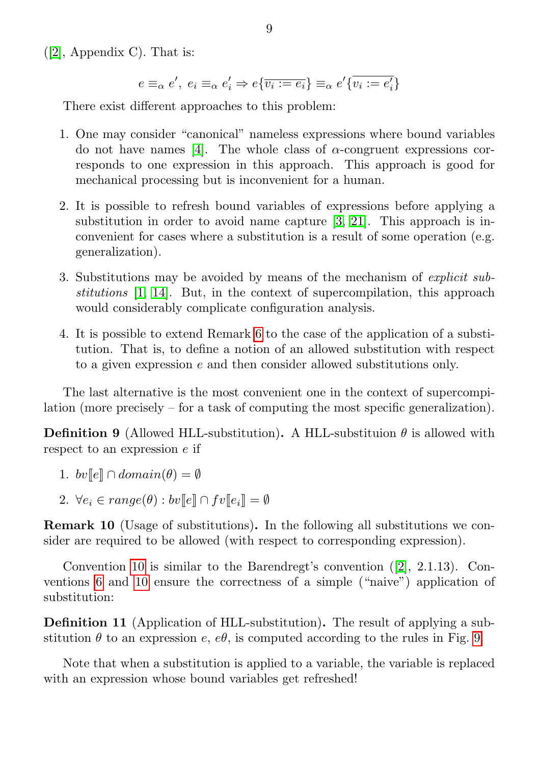$([2],$  $([2],$  $([2],$  Appendix C). That is:

$$
e \equiv_{\alpha} e', e_i \equiv_{\alpha} e'_i \Rightarrow e\{\overline{v_i := e_i}\} \equiv_{\alpha} e'\{\overline{v_i := e'_i}\}
$$

There exist different approaches to this problem:

- 1. One may consider "canonical" nameless expressions where bound variables do not have names [\[4\]](#page-21-7). The whole class of  $\alpha$ -congruent expressions corresponds to one expression in this approach. This approach is good for mechanical processing but is inconvenient for a human.
- 2. It is possible to refresh bound variables of expressions before applying a substitution in order to avoid name capture [\[3,](#page-21-8) [21\]](#page-22-6). This approach is inconvenient for cases where a substitution is a result of some operation (e.g. generalization).
- 3. Substitutions may be avoided by means of the mechanism of explicit substitutions [\[1,](#page-21-9) [14\]](#page-22-7). But, in the context of supercompilation, this approach would considerably complicate configuration analysis.
- 4. It is possible to extend Remark [6](#page-7-3) to the case of the application of a substitution. That is, to define a notion of an allowed substitution with respect to a given expression  $e$  and then consider allowed substitutions only.

The last alternative is the most convenient one in the context of supercompilation (more precisely – for a task of computing the most specific generalization).

**Definition 9** (Allowed HLL-substitution). A HLL-substituion  $\theta$  is allowed with respect to an expression  $e$  if

- 1.  $bv[[e]] \cap domain(\theta) = \emptyset$
- 2.  $\forall e_i \in range(\theta) : bv[[e]] \cap fv[[e_i]] = \emptyset$

<span id="page-8-0"></span>Remark 10 (Usage of substitutions). In the following all substitutions we consider are required to be allowed (with respect to corresponding expression).

Convention [10](#page-8-0) is similar to the Barendregt's convention ([\[2\]](#page-21-6), 2.1.13). Conventions [6](#page-7-3) and [10](#page-8-0) ensure the correctness of a simple ("naive") application of substitution:

Definition 11 (Application of HLL-substitution). The result of applying a substitution  $\theta$  to an expression e,  $e\theta$ , is computed according to the rules in Fig. [9.](#page-9-0)

Note that when a substitution is applied to a variable, the variable is replaced with an expression whose bound variables get refreshed!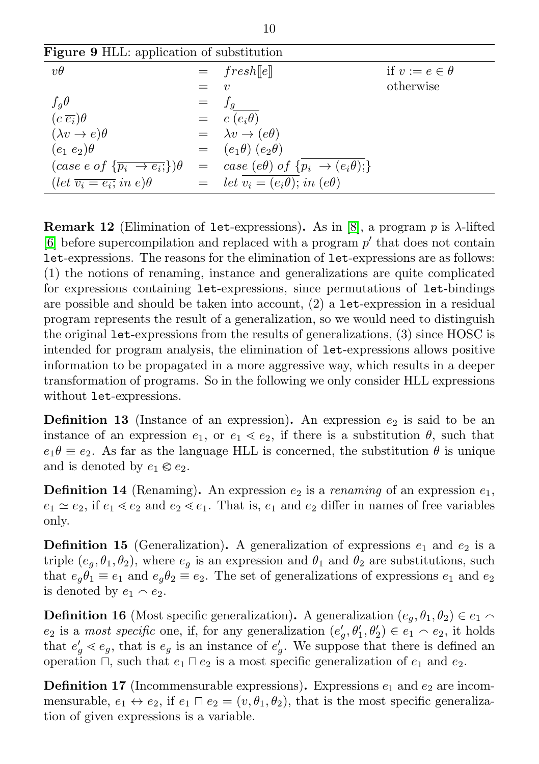<span id="page-9-0"></span>

| <b>Figure 9 HLL:</b> application of substitution          |     |                                                                                                                                                              |                        |  |  |
|-----------------------------------------------------------|-----|--------------------------------------------------------------------------------------------------------------------------------------------------------------|------------------------|--|--|
| $v\theta$                                                 |     | $=$ fresh[e]                                                                                                                                                 | if $v := e \in \theta$ |  |  |
|                                                           |     | $\eta$                                                                                                                                                       | otherwise              |  |  |
| $f_q\theta$                                               | $=$ | $f_q$                                                                                                                                                        |                        |  |  |
| $(c\ \overline{e_i})\theta$                               |     | $= c(e_i\overline{\theta})$                                                                                                                                  |                        |  |  |
| $(\lambda v \rightarrow e)\theta$                         |     | $= \lambda v \rightarrow (e\theta)$                                                                                                                          |                        |  |  |
| $(e_1\ e_2)\theta$                                        |     | $= (e_1 \theta) (e_2 \theta)$                                                                                                                                |                        |  |  |
|                                                           |     | $\left(\text{case } e \text{ of } \{\overline{p_i \rightarrow e_i} \}\right) \theta = \text{case } (e \theta) \text{ of } \{p_i \rightarrow (e_i \theta) \}$ |                        |  |  |
| $(\text{let } \overline{v_i = e_i}; \text{ in } e)\theta$ |     | $=$ let $v_i = (e_i \theta);$ in $(e \theta)$                                                                                                                |                        |  |  |

**Remark 12** (Elimination of let-expressions). As in [\[8\]](#page-21-2), a program  $p$  is  $\lambda$ -lifted  $[6]$  before supercompilation and replaced with a program  $p'$  that does not contain let-expressions. The reasons for the elimination of let-expressions are as follows: (1) the notions of renaming, instance and generalizations are quite complicated for expressions containing let-expressions, since permutations of let-bindings are possible and should be taken into account, (2) a let-expression in a residual program represents the result of a generalization, so we would need to distinguish the original let-expressions from the results of generalizations, (3) since HOSC is intended for program analysis, the elimination of let-expressions allows positive information to be propagated in a more aggressive way, which results in a deeper transformation of programs. So in the following we only consider HLL expressions without let-expressions.

**Definition 13** (Instance of an expression). An expression  $e_2$  is said to be an instance of an expression  $e_1$ , or  $e_1 \leq e_2$ , if there is a substitution  $\theta$ , such that  $e_1 \theta \equiv e_2$ . As far as the language HLL is concerned, the substitution  $\theta$  is unique and is denoted by  $e_1 \otimes e_2$ .

**Definition 14** (Renaming). An expression  $e_2$  is a *renaming* of an expression  $e_1$ ,  $e_1 \simeq e_2$ , if  $e_1 \lessdot e_2$  and  $e_2 \lessdot e_1$ . That is,  $e_1$  and  $e_2$  differ in names of free variables only.

**Definition 15** (Generalization). A generalization of expressions  $e_1$  and  $e_2$  is a triple  $(e_q, \theta_1, \theta_2)$ , where  $e_q$  is an expression and  $\theta_1$  and  $\theta_2$  are substitutions, such that  $e_q \theta_1 \equiv e_1$  and  $e_q \theta_2 \equiv e_2$ . The set of generalizations of expressions  $e_1$  and  $e_2$ is denoted by  $e_1 \wedge e_2$ .

**Definition 16** (Most specific generalization). A generalization  $(e_q, \theta_1, \theta_2) \in e_1 \cap$  $e_2$  is a most specific one, if, for any generalization  $(e'_g, \theta'_1, \theta'_2) \in e_1 \cap e_2$ , it holds that  $e'_{g} \lessdot e_{g}$ , that is  $e_{g}$  is an instance of  $e'_{g}$ . We suppose that there is defined an operation  $\Box$ , such that  $e_1 \Box e_2$  is a most specific generalization of  $e_1$  and  $e_2$ .

**Definition 17** (Incommensurable expressions). Expressions  $e_1$  and  $e_2$  are incommensurable,  $e_1 \leftrightarrow e_2$ , if  $e_1 \sqcap e_2 = (v, \theta_1, \theta_2)$ , that is the most specific generalization of given expressions is a variable.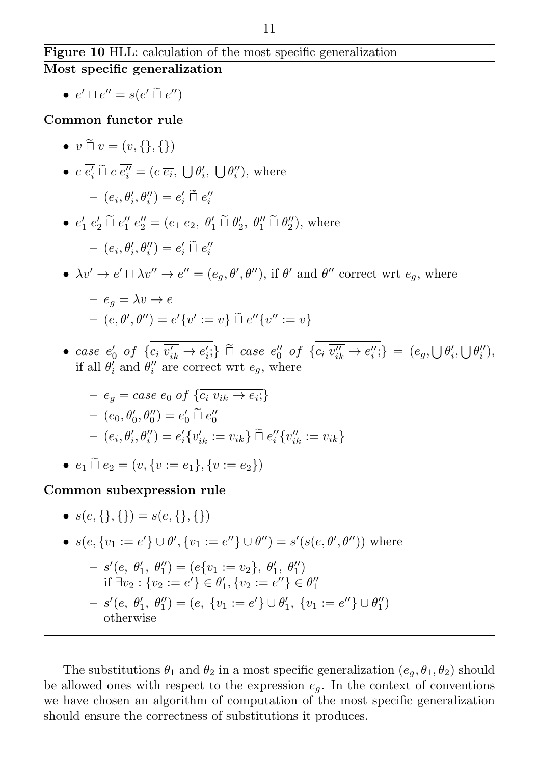### Figure 10 HLL: calculation of the most specific generalization Most specific generalization

•  $e' \sqcap e'' = s(e' \sqcap e'')$ 

Common functor rule

 $\bullet v \tilde{\sqcap} v = (v, \{\}, \{\})$ •  $c \overline{e'_i} \sqcap c \overline{e''_i} = (c \overline{e_i}, \bigcup \theta'_i, \bigcup \theta''_i)$ , where  $- (e_i, \theta'_i, \theta''_i) = e'_i \widetilde{\sqcap} e''_i$ •  $e'_1 e'_2 \tilde{\sqcap} e''_1 e''_2 = (e_1 e_2, \theta'_1 \tilde{\sqcap} \theta'_2, \theta''_1 \tilde{\sqcap} \theta''_2)$ , where  $- (e_i, \theta'_i, \theta''_i) = e'_i \widetilde{\sqcap} e''_i$ •  $\lambda v' \to e' \sqcap \lambda v'' \to e'' = (e_g, \theta', \theta'')$ , if  $\theta'$  and  $\theta''$  correct wrt  $e_g$ , where  $-e_a = \lambda v \rightarrow e$  $(e, \theta', \theta'') = e' \{v' := v\} \sqcap e'' \{v'' := v\}$ • case  $e'_0$  of  $\{c_i \overline{v'_{ik}} \to e'_i\}$   $\stackrel{\sim}{\cap}$  case  $e''_0$  of  $\{c_i \overline{v''_{ik}} \to e''_i\} = (e_g, \bigcup \theta'_i, \bigcup \theta''_i)$ ,<br>  $\vdots$   $\vdots$   $\vdots$   $\vdots$   $\vdots$   $\vdots$   $\vdots$   $\vdots$   $\vdots$   $\vdots$   $\vdots$   $\vdots$   $\vdots$   $\vdots$   $\vdots$   $\vdots$   $\vdots$   $\vdots$ if all  $\theta'_i$  and  $\theta''_i$  are correct wrt  $e_g$ , where

$$
- e_g = case \ e_0 \ of \ \{c_i \ \overline{v_{ik}} \to e_i; \}
$$

$$
- (e_0, \theta'_0, \theta''_0) = e'_0 \ \overline{\cap} \ e''_0
$$

$$
- (e_i, \theta'_i, \theta''_i) = \underline{e'_i \{v'_{ik} := v_{ik}\}} \ \overline{\cap} \ \underline{e''_i \{v''_{ik} := v_{ik}\}}
$$

• 
$$
e_1 \cap e_2 = (v, \{v := e_1\}, \{v := e_2\})
$$

Common subexpression rule

\n- \n
$$
s(e, \{\}, \{\}) = s(e, \{\}, \{\})
$$
\n
\n- \n $s(e, \{v_1 := e'\} \cup \theta', \{v_1 := e''\} \cup \theta'') = s'(s(e, \theta', \theta''))$  where\n  $-s'(e, \theta'_1, \theta''_1) = (e\{v_1 := v_2\}, \theta'_1, \theta''_1)$  if  $\exists v_2 : \{v_2 := e'\} \in \theta'_1, \{v_2 := e''\} \in \theta''_1$ \n
\n- \n $-s'(e, \theta'_1, \theta''_1) = (e, \{v_1 := e'\} \cup \theta'_1, \{v_1 := e''\} \cup \theta''_1)$  otherwise\n
\n

<span id="page-10-1"></span><span id="page-10-0"></span>The substitutions  $\theta_1$  and  $\theta_2$  in a most specific generalization  $(e_a, \theta_1, \theta_2)$  should be allowed ones with respect to the expression  $e_q$ . In the context of conventions we have chosen an algorithm of computation of the most specific generalization should ensure the correctness of substitutions it produces.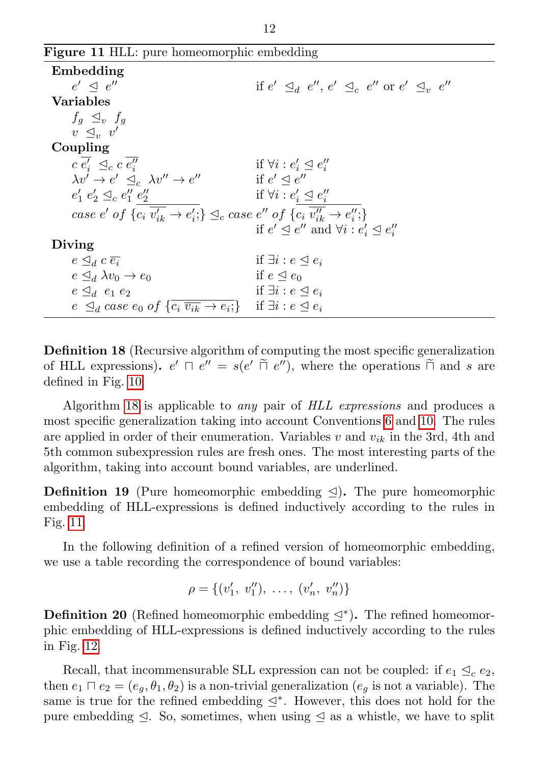|  |  |  | Figure 11 HLL: pure homeomorphic embedding |  |
|--|--|--|--------------------------------------------|--|
|--|--|--|--------------------------------------------|--|

<span id="page-11-0"></span>

| Embedding                                                                                                                              |                                                                                 |
|----------------------------------------------------------------------------------------------------------------------------------------|---------------------------------------------------------------------------------|
| $e' \triangleleft e''$                                                                                                                 | if $e' \triangleleft_d e'', e' \triangleleft_c e''$ or $e' \triangleleft_u e''$ |
| <b>Variables</b>                                                                                                                       |                                                                                 |
| $f_q \trianglelefteq_v f_q$                                                                                                            |                                                                                 |
| $v \triangleleft_{v} v'$                                                                                                               |                                                                                 |
| Coupling                                                                                                                               |                                                                                 |
| $c e'_i \preceq_c c e''_i$                                                                                                             | if $\forall i : e'_i \subseteq e''_i$                                           |
| $\lambda v' \rightarrow e' \prec_c \lambda v'' \rightarrow e''$                                                                        | if $e' \triangleleft e''$                                                       |
| $e'_1 e'_2 \leq_c e''_1 e''_2$                                                                                                         | if $\forall i : e'_i \trianglelefteq e''_i$                                     |
| case e' of $\{c_i \overline{v'_{ik}} \rightarrow e'_i\} \trianglelefteq_c$ case e'' of $\{c_i \overline{v''_{ik}} \rightarrow e''_i\}$ |                                                                                 |
|                                                                                                                                        | if $e' \leq e''$ and $\forall i : e'_i \leq e''_i$                              |
| Diving                                                                                                                                 |                                                                                 |
| $e \triangleleft_d c \overline{e_i}$                                                                                                   | if $\exists i : e \triangleleft e_i$                                            |
| $e \triangleleft_d \lambda v_0 \rightarrow e_0$                                                                                        | if $e \triangleleft e_0$                                                        |
| $e \triangleleft_d e_1 e_2$                                                                                                            | if $\exists i : e \triangleleft e_i$                                            |
| $e \leq_d case \ e_0 \ of \ \{c_i \ \overline{v_{ik}} \to e_i\} \ \ \text{if } \exists i : e \leq e_i$                                 |                                                                                 |

Definition 18 (Recursive algorithm of computing the most specific generalization of HLL expressions).  $e' \sqcap e'' = s(e' \sqcap e'')$ , where the operations  $\sqcap$  and s are defined in Fig. [10.](#page-10-0)

Algorithm [18](#page-10-1) is applicable to any pair of HLL expressions and produces a most specific generalization taking into account Conventions [6](#page-7-3) and [10.](#page-8-0) The rules are applied in order of their enumeration. Variables  $v$  and  $v_{ik}$  in the 3rd, 4th and 5th common subexpression rules are fresh ones. The most interesting parts of the algorithm, taking into account bound variables, are underlined.

**Definition 19** (Pure homeomorphic embedding  $\leq$ ). The pure homeomorphic embedding of HLL-expressions is defined inductively according to the rules in Fig. [11.](#page-11-0)

In the following definition of a refined version of homeomorphic embedding, we use a table recording the correspondence of bound variables:

$$
\rho = \{ (v'_1, v''_1), \ldots, (v'_n, v''_n) \}
$$

**Definition 20** (Refined homeomorphic embedding  $\leq^*$ ). The refined homeomorphic embedding of HLL-expressions is defined inductively according to the rules in Fig. [12.](#page-12-1)

Recall, that incommensurable SLL expression can not be coupled: if  $e_1 \trianglelefteq_c e_2$ , then  $e_1 \sqcap e_2 = (e_g, \theta_1, \theta_2)$  is a non-trivial generalization  $(e_g$  is not a variable). The same is true for the refined embedding  $\leq^*$ . However, this does not hold for the pure embedding  $\triangleleft$ . So, sometimes, when using  $\triangleleft$  as a whistle, we have to split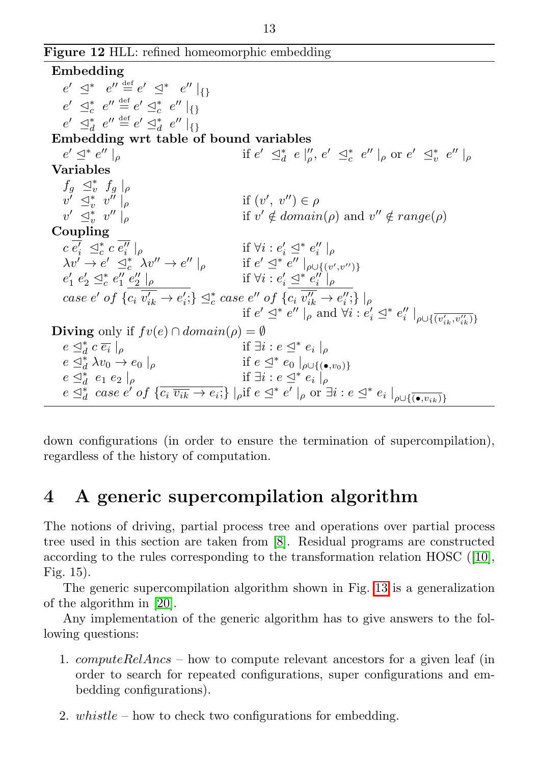Figure 12 HLL: refined homeomorphic embedding

<span id="page-12-1"></span>Embedding  $e' \supseteq^* e'' \stackrel{\text{def}}{=} e' \supseteq^* e'' \mid_{\{\}}$  $e' \supseteq^*_c e'' \stackrel{\text{def}}{=} e' \supseteq^*_c e'' \mid_{\{\}}$  $e' \supseteq_d^* e'' \stackrel{\text{def}}{=} e' \supseteq_d^* e'' \mid \{ \}$ Embedding wrt table of bound variables  $e' \leq^* e$  $'' \mid_{\rho}$  if  $e' \leq_d^* e \mid_{\rho}''$ ,  $e' \leq_c^* e'' \mid_{\rho}$  or  $e' \leq_c^* e'' \mid_{\rho}$ Variables  $f_g \leq_v^* f_g$  $v' \leq_v^* v'' \mid_{\rho}$  if  $(v)$ ',  $v'') \in \rho$  $v' \preceq_v^* v$  $\int_{\rho}^{\prime}$  if  $v' \notin domain(\rho)$  and  $v'' \notin range(\rho)$ Coupling  $c \overline{e'_i} \preceq_c^* c \overline{e''_i} \mid_{\rho} \qquad \qquad \text{if } \forall i : e'_i \preceq^* e''_i \mid_{\rho}$  $\lambda v' \to e' \preceq_c^* \lambda v'' \to e'' \mid_{\rho} \quad \text{if } e' \preceq^* e'' \mid_{\rho \cup \{(v',v'')\}}$  $e'_1 \; e'_2 \; \mathrel{\trianglelefteq^*}\! e''_1 \; \frac{e''_2}{e'_2} \; |_{\rho} \qquad \qquad \qquad \text{if } \forall i : e'_i \; \mathrel{\trianglelefteq^*}\! e''_i \; |_{\rho}$ case e' of  $\{c_i \overline{v_{ik}'} \rightarrow e_i';\} \trianglelefteq_c^* \text{case } e''$  of  $\{c_i \overline{v_{ik}''} \rightarrow e_i'';\} |_{\rho}$ if  $e' \preceq^* e'' \mid_{\rho}^{\infty}$  and  $\forall i : e'_i \preceq^* e''_i \mid_{\rho \cup \{\overline{(v'_{ik}, v''_{ik})}\}}$ Diving only if  $fv(e) \cap domain(\rho) = \emptyset$  $e \trianglelefteq_d^* c \overline{e_i}$  $|_{\rho}$  if  $\exists i : e \leq^* e_i |_{\rho}$  $e \subseteq_d^*$  $\frac{1}{d} \lambda v_0 \to e_0 \mid_{\rho}$  if  $e \leq^* e_0 \mid_{\rho \cup \{(\bullet, v_0)\}}$  $e \subseteq_d^*$  $e \preceq_d^d e_1 e_2 \mid \rho$ <br>  $e \preceq_d^d$  case  $e'$  of  $\{\overline{c_i \ v_{ik}} \to e_i\}$   $\mid_{\rho}$  if  $e \preceq^* e' \mid_{\rho}$  or  $\exists i : e \preceq^* e_i \mid_{\rho \cup \{(\bullet, v_{ik})\}}$  $e_1 e_2 \mid_{\rho}$  if  $\exists i : e \leq^* e_i \mid_{\rho}$ 

down configurations (in order to ensure the termination of supercompilation), regardless of the history of computation.

## <span id="page-12-0"></span>4 A generic supercompilation algorithm

The notions of driving, partial process tree and operations over partial process tree used in this section are taken from [\[8\]](#page-21-2). Residual programs are constructed according to the rules corresponding to the transformation relation HOSC ([\[10\]](#page-21-3), Fig. 15).

The generic supercompilation algorithm shown in Fig. [13](#page-13-0) is a generalization of the algorithm in [\[20\]](#page-22-2).

Any implementation of the generic algorithm has to give answers to the following questions:

- 1.  $computeRelAnss how to compute relevant ancestors for a given leaf (in$ order to search for repeated configurations, super configurations and embedding configurations).
- 2. whistle how to check two configurations for embedding.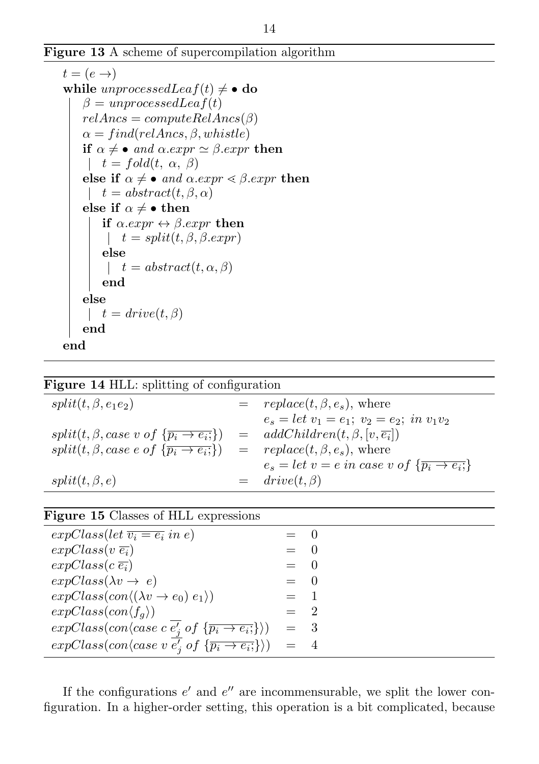Figure 13 A scheme of supercompilation algorithm

```
t = (e \rightarrow)while unprocessed Lea f(t) \neq \bullet do
    \beta = unprocessedLeaf(t)relAnsc = computeRelAnsc(\beta)\alpha = find (relAncs, \beta, whistle)if \alpha \neq \bullet and \alpha . expr \simeq \beta . expr then
     t = fold(t, \alpha, \beta)else if \alpha \neq \bullet and \alpha . expr \leq \beta . expr then
     t = abstract(t, \beta, \alpha)else if \alpha \neq \bullet then
         if \alpha . expr \leftrightarrow \beta . expr then
           t = split(t, \beta, \beta, expr)else
           t = abstract(t, \alpha, \beta)end
    else
      t = drive(t, \beta)end
end
```
<span id="page-13-0"></span>

|  |  | Figure 14 HLL: splitting of configuration |
|--|--|-------------------------------------------|
|--|--|-------------------------------------------|

<span id="page-13-1"></span>

| $split(t, \beta, e_1e_2)$                                                                                                   |     | $= \text{replace}(t, \beta, e_s), \text{ where}$                  |
|-----------------------------------------------------------------------------------------------------------------------------|-----|-------------------------------------------------------------------|
|                                                                                                                             |     | $e_s = let v_1 = e_1; v_2 = e_2; in v_1v_2$                       |
| $split(t, \beta, case \ v \ of \ \{\overline{p_i \rightarrow e_i}\})$                                                       | $=$ | $addChildren(t, \beta, [v, \overline{e_i}])$                      |
| $split(t, \beta, case \text{ } e \text{ } of \text{ } {\overline{p_i \rightarrow e_i}})$ = $replace(t, \beta, e_s)$ , where |     |                                                                   |
|                                                                                                                             |     | $e_s = let v = e in case v of \{\overline{p_i \rightarrow e_i}\}$ |
| $split(t, \beta, e)$                                                                                                        |     | $=$ drive $(t, \beta)$                                            |
|                                                                                                                             |     |                                                                   |

#### Figure 15 Classes of HLL expressions

<span id="page-13-2"></span>

| $expClass(left \overline{v_i} = e_i \text{ in } e)$                                               | $= 0$  |  |
|---------------------------------------------------------------------------------------------------|--------|--|
| $expClass(v \overline{e_i})$                                                                      | $=$ 0  |  |
| $expClass(c\ \overline{e_i})$                                                                     | $=$ 0  |  |
| $expClass(\lambda v \rightarrow e)$                                                               | $=$ () |  |
| $expClass(con \langle (\lambda v \rightarrow e_0) e_1 \rangle)$                                   | $=$ 1  |  |
| $expClass(con \langle f_a \rangle)$                                                               | $=$ 2  |  |
| $expClass(con\langle case\ c\ e'_i\ of\ \{\overline{p_i\rightarrow e_i};\}\rangle)$               | $=$ 3  |  |
| $expClass(con\langle case\ v\ \overline{e'_i}\ of\ \{\overline{p_i\rightarrow e_i}\}\rangle) = 4$ |        |  |
|                                                                                                   |        |  |

If the configurations  $e'$  and  $e''$  are incommensurable, we split the lower configuration. In a higher-order setting, this operation is a bit complicated, because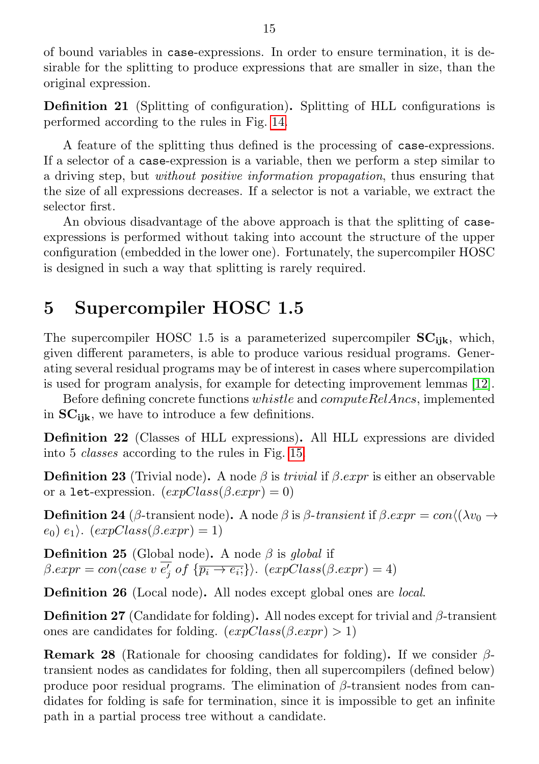of bound variables in case-expressions. In order to ensure termination, it is desirable for the splitting to produce expressions that are smaller in size, than the original expression.

Definition 21 (Splitting of configuration). Splitting of HLL configurations is performed according to the rules in Fig. [14.](#page-13-1)

A feature of the splitting thus defined is the processing of case-expressions. If a selector of a case-expression is a variable, then we perform a step similar to a driving step, but without positive information propagation, thus ensuring that the size of all expressions decreases. If a selector is not a variable, we extract the selector first.

An obvious disadvantage of the above approach is that the splitting of caseexpressions is performed without taking into account the structure of the upper configuration (embedded in the lower one). Fortunately, the supercompiler HOSC is designed in such a way that splitting is rarely required.

### <span id="page-14-0"></span>5 Supercompiler HOSC 1.5

The supercompiler HOSC 1.5 is a parameterized supercompiler  $SC_{iik}$ , which, given different parameters, is able to produce various residual programs. Generating several residual programs may be of interest in cases where supercompilation is used for program analysis, for example for detecting improvement lemmas [\[12\]](#page-22-8).

Before defining concrete functions  $whistle$  and  $computeRelAncs$ , implemented in  $SC_{iik}$ , we have to introduce a few definitions.

Definition 22 (Classes of HLL expressions). All HLL expressions are divided into 5 classes according to the rules in Fig. [15.](#page-13-2)

**Definition 23** (Trivial node). A node  $\beta$  is *trivial* if  $\beta$ *.expr* is either an observable or a let-expression.  $(expClass(\beta . expr) = 0)$ 

**Definition 24** ( $\beta$ -transient node). A node  $\beta$  is  $\beta$ -transient if  $\beta$ .expr = con $\langle \chi v_0 \rangle$  $(e_0)$   $e_1$ ).  $(expClass(\beta . expr) = 1)$ 

**Definition 25** (Global node). A node  $\beta$  is global if  $\beta . expr = con\langle case \ v \ \overline{e_j'} \ of \ \{\overline{p_i \rightarrow e_i;}\}\rangle. \ (expClass(\beta . expr) = 4)$ 

Definition 26 (Local node). All nodes except global ones are local.

**Definition 27** (Candidate for folding). All nodes except for trivial and  $\beta$ -transient ones are candidates for folding.  $(expClass(\beta, expr) > 1)$ 

**Remark 28** (Rationale for choosing candidates for folding). If we consider  $\beta$ transient nodes as candidates for folding, then all supercompilers (defined below) produce poor residual programs. The elimination of  $\beta$ -transient nodes from candidates for folding is safe for termination, since it is impossible to get an infinite path in a partial process tree without a candidate.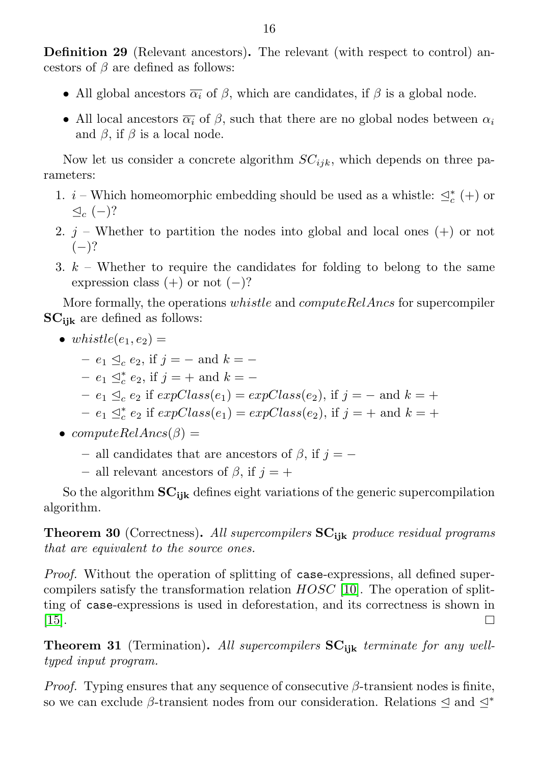Definition 29 (Relevant ancestors). The relevant (with respect to control) ancestors of  $\beta$  are defined as follows:

- All global ancestors  $\overline{\alpha_i}$  of  $\beta$ , which are candidates, if  $\beta$  is a global node.
- All local ancestors  $\overline{\alpha_i}$  of  $\beta$ , such that there are no global nodes between  $\alpha_i$ and  $\beta$ , if  $\beta$  is a local node.

Now let us consider a concrete algorithm  $SC_{ijk}$ , which depends on three parameters:

- 1.  $i$  Which homeomorphic embedding should be used as a whistle:  $\trianglelefteq^*_c (+)$  or  $\trianglelefteq_c (-)$ ?
- 2.  $j$  Whether to partition the nodes into global and local ones  $(+)$  or not  $(-)$ ?
- 3.  $k$  Whether to require the candidates for folding to belong to the same expression class  $(+)$  or not  $(-)$ ?

More formally, the operations *whistle* and *computeRelAncs* for supercompiler  $SC_{ijk}$  are defined as follows:

- whistle( $e_1, e_2$ ) =
	- $-e_1 \leq_c e_2$ , if  $j = -$  and  $k = -$
	- $-e_1 \leq_c^* e_2$ , if  $j = +$  and  $k = -$
	- $-e_1 \trianglelefteq_c e_2$  if  $expClass(e_1) = expClass(e_2)$ , if  $j = -$  and  $k = +$
	- $-e_1 \leq_c^* e_2$  if  $expClass(e_1) = expClass(e_2)$ , if  $j = +$  and  $k = +$
- $computeRelAncs(\beta) =$ 
	- all candidates that are ancestors of  $\beta$ , if  $j = -$
	- all relevant ancestors of  $\beta$ , if  $i = +$

So the algorithm  $SC_{ijk}$  defines eight variations of the generic supercompilation algorithm.

**Theorem 30** (Correctness). All supercompilers  $SC_{ijk}$  produce residual programs that are equivalent to the source ones.

Proof. Without the operation of splitting of case-expressions, all defined supercompilers satisfy the transformation relation  $HOSC$  [\[10\]](#page-21-3). The operation of splitting of case-expressions is used in deforestation, and its correctness is shown in  $|15|$ . П

Theorem 31 (Termination). All supercompilers  $SC_{iik}$  terminate for any welltyped input program.

*Proof.* Typing ensures that any sequence of consecutive  $\beta$ -transient nodes is finite, so we can exclude  $\beta$ -transient nodes from our consideration. Relations  $\leq$  and  $\leq^*$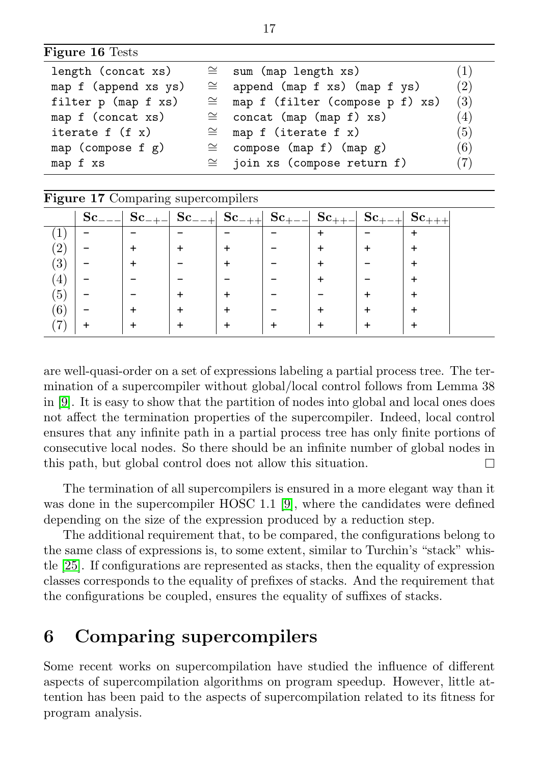| Figure 16 Tests |  |  |
|-----------------|--|--|
|-----------------|--|--|

<span id="page-16-1"></span>

| length (concat xs)     | $\cong$ sum (map length xs)<br>(1)      |     |  |
|------------------------|-----------------------------------------|-----|--|
| map f (append xs ys)   | $\cong$ append (map f xs) (map f ys)    | (2) |  |
| filter p (map f xs)    | $\cong$ map f (filter (compose p f) xs) | (3) |  |
| map f (concat xs)      | $\cong$ concat (map (map f) xs)         | (4) |  |
| iterate $f(f x)$       | $\cong$ map f (iterate f x)             | (5) |  |
| map (compose $f$ $g$ ) | $\cong$ compose (map f) (map g)         | (6) |  |
| map f xs               | $\cong$ join xs (compose return f)      | (7) |  |

<span id="page-16-2"></span>

| Figure 17 Comparing supercompilers |              |            |             |            |                     |       |      |  |
|------------------------------------|--------------|------------|-------------|------------|---------------------|-------|------|--|
|                                    | $\rm Sc_{-}$ | $Sc_{-+-}$ | $Sc_{---+}$ | $Sc_{-++}$ | $\mathbf{Sc}_{\pm}$ | Sc. . | Sc . |  |
|                                    |              |            |             |            |                     |       |      |  |
|                                    |              |            |             |            |                     |       |      |  |
| (3)                                |              |            |             |            |                     |       |      |  |
| $\pm$                              |              |            |             |            |                     |       |      |  |
| (5)                                |              |            |             |            |                     |       |      |  |
| (6)                                |              |            |             |            |                     |       |      |  |
|                                    |              |            |             |            |                     |       |      |  |

are well-quasi-order on a set of expressions labeling a partial process tree. The termination of a supercompiler without global/local control follows from Lemma 38 in [\[9\]](#page-21-4). It is easy to show that the partition of nodes into global and local ones does not affect the termination properties of the supercompiler. Indeed, local control ensures that any infinite path in a partial process tree has only finite portions of consecutive local nodes. So there should be an infinite number of global nodes in this path, but global control does not allow this situation. П

The termination of all supercompilers is ensured in a more elegant way than it was done in the supercompiler HOSC 1.1 [\[9\]](#page-21-4), where the candidates were defined depending on the size of the expression produced by a reduction step.

The additional requirement that, to be compared, the configurations belong to the same class of expressions is, to some extent, similar to Turchin's "stack" whistle [\[25\]](#page-22-10). If configurations are represented as stacks, then the equality of expression classes corresponds to the equality of prefixes of stacks. And the requirement that the configurations be coupled, ensures the equality of suffixes of stacks.

### <span id="page-16-0"></span>6 Comparing supercompilers

Some recent works on supercompilation have studied the influence of different aspects of supercompilation algorithms on program speedup. However, little attention has been paid to the aspects of supercompilation related to its fitness for program analysis.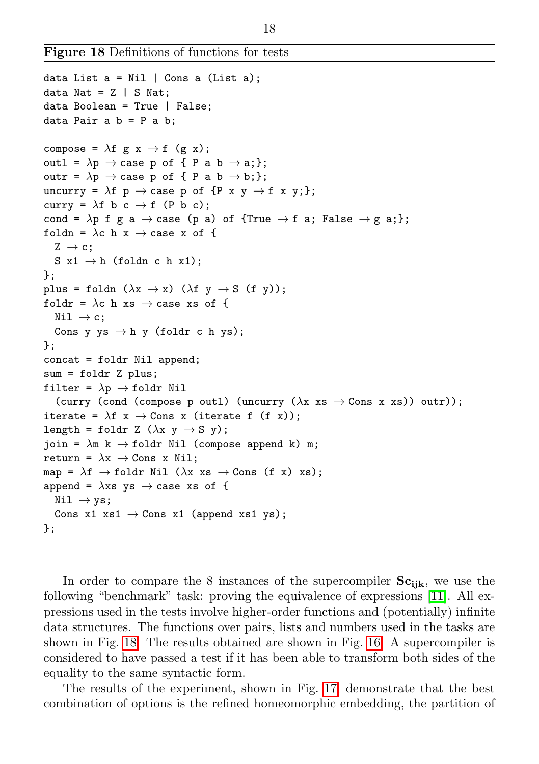Figure 18 Definitions of functions for tests

```
data List a = Nil | Cons a (List a);
data Nat = Z | S Nat;
data Boolean = True | False;
data Pair a b = P a b;
compose = \lambda f g x \rightarrow f (g x);
outl = \lambda p \rightarrow case p of { P a b \rightarrow a;};
outr = \lambda p \rightarrow \text{case } p \text{ of } \{ P \text{ a } b \rightarrow b; \};uncurry = \lambda f p \rightarrow case p of {P x y \rightarrow f x y;};
curry = \lambda f b c \rightarrow f (P b c);
cond = \lambda p f g a \rightarrow case (p a) of {True \rightarrow f a; False \rightarrow g a;};
foldn = \lambdac h x \rightarrow case x of {
  Z \rightarrow c;
  S x1 \rightarrow h (foldn c h x1);
};
plus = foldn (\lambda x \rightarrow x) (\lambda f y \rightarrow S (f y));
foldr = \lambdac h xs \rightarrow case xs of {
  Nil \rightarrow c:
  Cons y ys \rightarrow h y (foldr c h ys);
};
concat = foldr Nil append;
sum = foldr Z plus;
filter = \lambda p \rightarrow foldr Nil
   (curry (cond (compose p outl) (uncurry (\lambda x \ x s \rightarrow Cons \ x \ xs) ) outr));
iterate = \lambda f x \rightarrow Cons x (iterate f (f x));
length = foldr Z (\lambda x y \rightarrow S y);
join = \lambdam k \rightarrow foldr Nil (compose append k) m;
return = \lambda x \rightarrow Cons x Nil;
map = \lambdaf \rightarrow foldr Nil (\lambdax xs \rightarrow Cons (f x) xs);
append = \lambdaxs ys \rightarrow case xs of {
  Nil \rightarrow vs:Cons x1 xs1 \rightarrow Cons x1 (append xs1 ys);
};
```
<span id="page-17-0"></span>In order to compare the 8 instances of the supercompiler  $Sc_{ik}$ , we use the following "benchmark" task: proving the equivalence of expressions [\[11\]](#page-21-1). All expressions used in the tests involve higher-order functions and (potentially) infinite data structures. The functions over pairs, lists and numbers used in the tasks are shown in Fig. [18.](#page-17-0) The results obtained are shown in Fig. [16.](#page-16-1) A supercompiler is considered to have passed a test if it has been able to transform both sides of the equality to the same syntactic form.

The results of the experiment, shown in Fig. [17,](#page-16-2) demonstrate that the best combination of options is the refined homeomorphic embedding, the partition of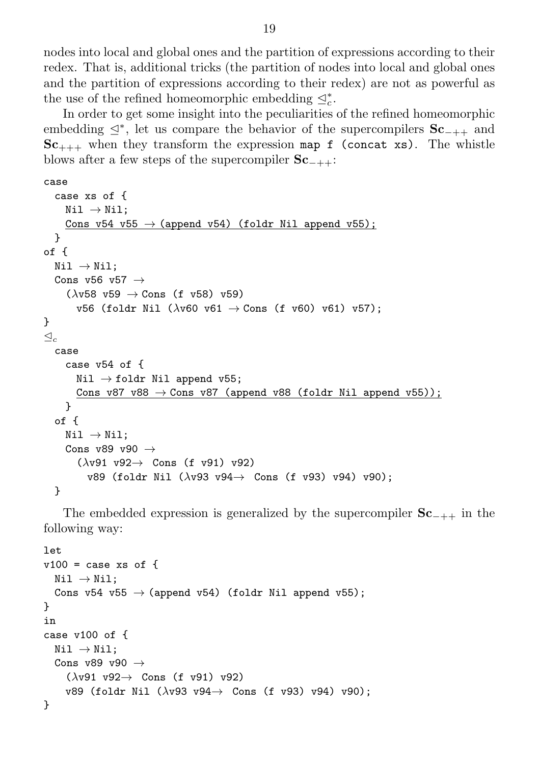nodes into local and global ones and the partition of expressions according to their redex. That is, additional tricks (the partition of nodes into local and global ones and the partition of expressions according to their redex) are not as powerful as the use of the refined homeomorphic embedding  $\trianglelefteq^*_c$ .

In order to get some insight into the peculiarities of the refined homeomorphic embedding  $\leq^*$ , let us compare the behavior of the supercompilers  $Sc_{-++}$  and  $Sc_{+++}$  when they transform the expression map f (concat xs). The whistle blows after a few steps of the supercompiler  $Sc_{-++}$ :

```
case
  case xs of {
     Nil \rightarrow Nil;Cons v54 v55 \rightarrow (append v54) (foldr Nil append v55);
  }
of {
  Nil \rightarrow Nil;Cons v56 v57 \rightarrow(\lambda \text{v58 v59} \rightarrow \text{Cons (f v58) v59})v56 (foldr Nil (\lambdav60 v61 \rightarrow Cons (f v60) v61) v57);
}
\triangleleftcase
     case v54 of {
       Nil \rightarrow foldr Nil append v55;
       Cons v87 v88 \rightarrow Cons v87 (append v88 (foldr Nil append v55));
     }
  of {
     Nil \rightarrow Nil;Cons v89 v90 \rightarrow(\lambda \nu 91 \nu 92 \rightarrow Cons (f v91) v92)
          v89 (foldr Nil (\lambdav93 v94\rightarrow Cons (f v93) v94) v90);
  }
```
The embedded expression is generalized by the supercompiler  $Sc_{-++}$  in the following way:

```
let
v100 = \case \t xs \t of \t fNil \rightarrow Nil;Cons v54 v55 \rightarrow (append v54) (foldr Nil append v55);
}
in
case v100 of {
  Nil \rightarrow Nil;Cons v89 v90 \rightarrow(\lambda y91 \text{ } y92 \rightarrow \text{Cons } (f y91) \text{ } y92)v89 (foldr Nil (\lambdav93 v94\rightarrow Cons (f v93) v94) v90);
}
```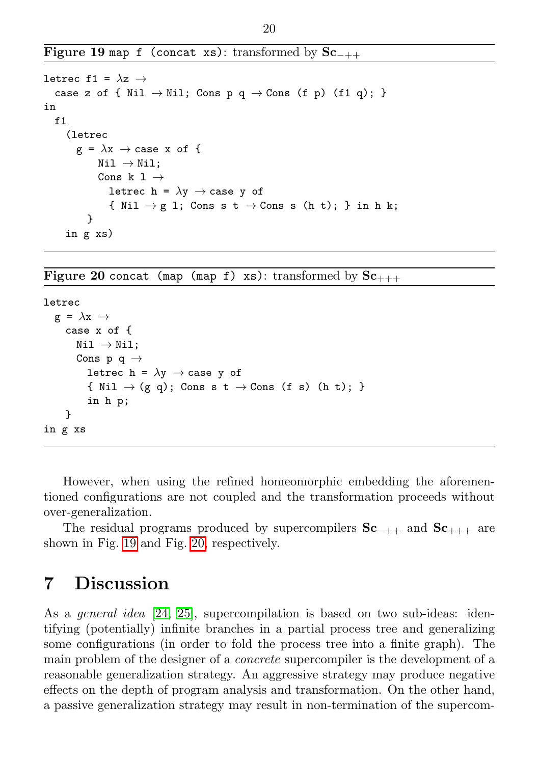Figure 19 map f (concat xs): transformed by  $Sc_{-++}$ 

```
letrec f1 = \lambdaz \rightarrowcase z of { Nil \rightarrow Nil; Cons p q \rightarrow Cons (f p) (f1 q); }
in
  f1(letrec
         g = \lambda x \rightarrow \text{case } x \text{ of } \{Nil \rightarrow Nil;Cons k 1 \rightarrowletrec h = \lambda y \rightarrow \text{case } y \text{ of }{ Nil \rightarrow g l; Cons s t \rightarrow Cons s (h t); } in h k;
           }
      in g xs)
```
<span id="page-19-1"></span>Figure 20 concat (map (map f) xs): transformed by  $Sc_{+++}$ 

```
letrec
  g = \lambda x \rightarrowcase x of {
        Nil \rightarrow Nil;Cons p q \rightarrowletrec h = \lambda y \rightarrow case y of
           { Nil \rightarrow (g q); Cons s t \rightarrow Cons (f s) (h t); }
           in h p;
     }
in g xs
```
<span id="page-19-2"></span>However, when using the refined homeomorphic embedding the aforementioned configurations are not coupled and the transformation proceeds without over-generalization.

The residual programs produced by supercompilers  $Sc_{-++}$  and  $Sc_{+++}$  are shown in Fig. [19](#page-19-1) and Fig. [20,](#page-19-2) respectively.

### <span id="page-19-0"></span>7 Discussion

As a general idea [\[24,](#page-22-11) [25\]](#page-22-10), supercompilation is based on two sub-ideas: identifying (potentially) infinite branches in a partial process tree and generalizing some configurations (in order to fold the process tree into a finite graph). The main problem of the designer of a concrete supercompiler is the development of a reasonable generalization strategy. An aggressive strategy may produce negative effects on the depth of program analysis and transformation. On the other hand, a passive generalization strategy may result in non-termination of the supercom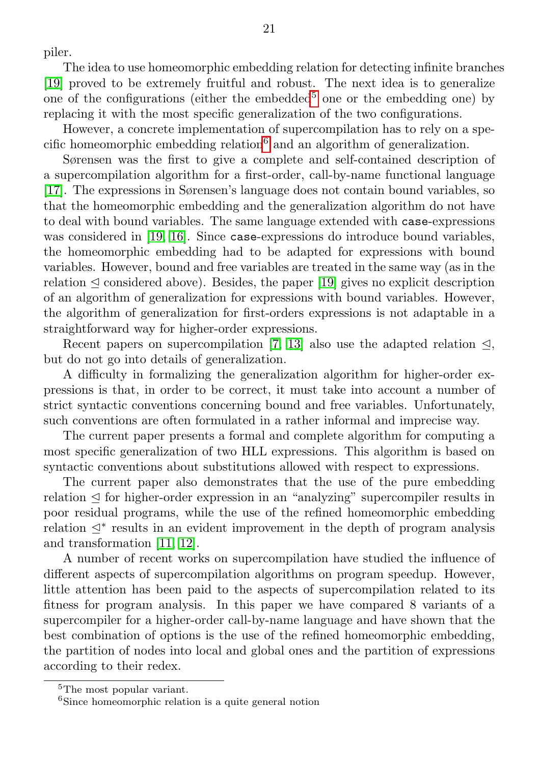piler.

The idea to use homeomorphic embedding relation for detecting infinite branches [\[19\]](#page-22-3) proved to be extremely fruitful and robust. The next idea is to generalize one of the configurations (either the embedded<sup>[5](#page-20-0)</sup> one or the embedding one) by replacing it with the most specific generalization of the two configurations.

However, a concrete implementation of supercompilation has to rely on a spe-cific homeomorphic embedding relation<sup>[6](#page-20-1)</sup> and an algorithm of generalization.

Sørensen was the first to give a complete and self-contained description of a supercompilation algorithm for a first-order, call-by-name functional language [\[17\]](#page-22-0). The expressions in Sørensen's language does not contain bound variables, so that the homeomorphic embedding and the generalization algorithm do not have to deal with bound variables. The same language extended with case-expressions was considered in [\[19,](#page-22-3) [16\]](#page-22-12). Since case-expressions do introduce bound variables, the homeomorphic embedding had to be adapted for expressions with bound variables. However, bound and free variables are treated in the same way (as in the relation  $\triangleleft$  considered above). Besides, the paper [\[19\]](#page-22-3) gives no explicit description of an algorithm of generalization for expressions with bound variables. However, the algorithm of generalization for first-orders expressions is not adaptable in a straightforward way for higher-order expressions.

Recent papers on supercompilation [\[7,](#page-21-11) [13\]](#page-22-13) also use the adapted relation  $\triangleleft$ , but do not go into details of generalization.

A difficulty in formalizing the generalization algorithm for higher-order expressions is that, in order to be correct, it must take into account a number of strict syntactic conventions concerning bound and free variables. Unfortunately, such conventions are often formulated in a rather informal and imprecise way.

The current paper presents a formal and complete algorithm for computing a most specific generalization of two HLL expressions. This algorithm is based on syntactic conventions about substitutions allowed with respect to expressions.

The current paper also demonstrates that the use of the pure embedding relation  $\leq$  for higher-order expression in an "analyzing" supercompiler results in poor residual programs, while the use of the refined homeomorphic embedding relation  $\leq^*$  results in an evident improvement in the depth of program analysis and transformation [\[11,](#page-21-1) [12\]](#page-22-8).

A number of recent works on supercompilation have studied the influence of different aspects of supercompilation algorithms on program speedup. However, little attention has been paid to the aspects of supercompilation related to its fitness for program analysis. In this paper we have compared 8 variants of a supercompiler for a higher-order call-by-name language and have shown that the best combination of options is the use of the refined homeomorphic embedding, the partition of nodes into local and global ones and the partition of expressions according to their redex.

<span id="page-20-0"></span><sup>5</sup>The most popular variant.

<span id="page-20-1"></span><sup>6</sup>Since homeomorphic relation is a quite general notion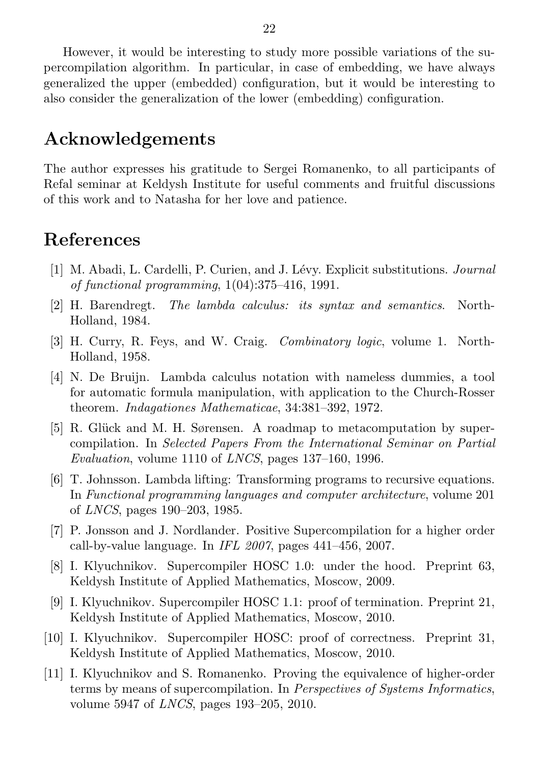However, it would be interesting to study more possible variations of the supercompilation algorithm. In particular, in case of embedding, we have always generalized the upper (embedded) configuration, but it would be interesting to also consider the generalization of the lower (embedding) configuration.

### Acknowledgements

The author expresses his gratitude to Sergei Romanenko, to all participants of Refal seminar at Keldysh Institute for useful comments and fruitful discussions of this work and to Natasha for her love and patience.

### <span id="page-21-0"></span>References

- <span id="page-21-9"></span>[1] M. Abadi, L. Cardelli, P. Curien, and J. L´evy. Explicit substitutions. Journal of functional programming, 1(04):375–416, 1991.
- <span id="page-21-6"></span>[2] H. Barendregt. The lambda calculus: its syntax and semantics. North-Holland, 1984.
- <span id="page-21-8"></span>[3] H. Curry, R. Feys, and W. Craig. Combinatory logic, volume 1. North-Holland, 1958.
- <span id="page-21-7"></span>[4] N. De Bruijn. Lambda calculus notation with nameless dummies, a tool for automatic formula manipulation, with application to the Church-Rosser theorem. Indagationes Mathematicae, 34:381–392, 1972.
- <span id="page-21-5"></span>[5] R. Glück and M. H. Sørensen. A roadmap to metacomputation by supercompilation. In Selected Papers From the International Seminar on Partial Evaluation, volume 1110 of LNCS, pages 137–160, 1996.
- <span id="page-21-10"></span>[6] T. Johnsson. Lambda lifting: Transforming programs to recursive equations. In Functional programming languages and computer architecture, volume 201 of LNCS, pages 190–203, 1985.
- <span id="page-21-11"></span>[7] P. Jonsson and J. Nordlander. Positive Supercompilation for a higher order call-by-value language. In IFL  $2007$ , pages  $441-456$ ,  $2007$ .
- <span id="page-21-2"></span>[8] I. Klyuchnikov. Supercompiler HOSC 1.0: under the hood. Preprint 63, Keldysh Institute of Applied Mathematics, Moscow, 2009.
- <span id="page-21-4"></span>[9] I. Klyuchnikov. Supercompiler HOSC 1.1: proof of termination. Preprint 21, Keldysh Institute of Applied Mathematics, Moscow, 2010.
- <span id="page-21-3"></span>[10] I. Klyuchnikov. Supercompiler HOSC: proof of correctness. Preprint 31, Keldysh Institute of Applied Mathematics, Moscow, 2010.
- <span id="page-21-1"></span>[11] I. Klyuchnikov and S. Romanenko. Proving the equivalence of higher-order terms by means of supercompilation. In Perspectives of Systems Informatics, volume 5947 of LNCS, pages 193–205, 2010.